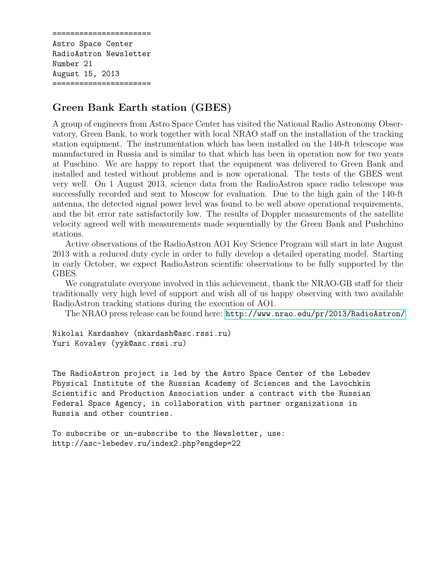====================== Astro Space Center RadioAstron Newsletter Number 21 August 15, 2013 ======================

## Green Bank Earth station (GBES)

A group of engineers from Astro Space Center has visited the National Radio Astronomy Observatory, Green Bank, to work together with local NRAO staff on the installation of the tracking station equipment. The instrumentation which has been installed on the 140-ft telescope was manufactured in Russia and is similar to that which has been in operation now for two years at Puschino. We are happy to report that the equipment was delivered to Green Bank and installed and tested without problems and is now operational. The tests of the GBES went very well. On 1 August 2013, science data from the RadioAstron space radio telescope was successfully recorded and sent to Moscow for evaluation. Due to the high gain of the 140-ft antenna, the detected signal power level was found to be well above operational requirements, and the bit error rate satisfactorily low. The results of Doppler measurements of the satellite velocity agreed well with measurements made sequentially by the Green Bank and Pushchino stations.

Active observations of the RadioAstron AO1 Key Science Program will start in late August 2013 with a reduced duty cycle in order to fully develop a detailed operating model. Starting in early October, we expect RadioAstron scientific observations to be fully supported by the GBES.

We congratulate everyone involved in this achievement, thank the NRAO-GB staff for their traditionally very high level of support and wish all of us happy observing with two available RadioAstron tracking stations during the execution of AO1.

The NRAO press release can be found here: <http://www.nrao.edu/pr/2013/RadioAstron/>

Nikolai Kardashev (nkardash@asc.rssi.ru) Yuri Kovalev (yyk@asc.rssi.ru)

The RadioAstron project is led by the Astro Space Center of the Lebedev Physical Institute of the Russian Academy of Sciences and the Lavochkin Scientific and Production Association under a contract with the Russian Federal Space Agency, in collaboration with partner organizations in Russia and other countries.

To subscribe or un-subscribe to the Newsletter, use: http://asc-lebedev.ru/index2.php?engdep=22